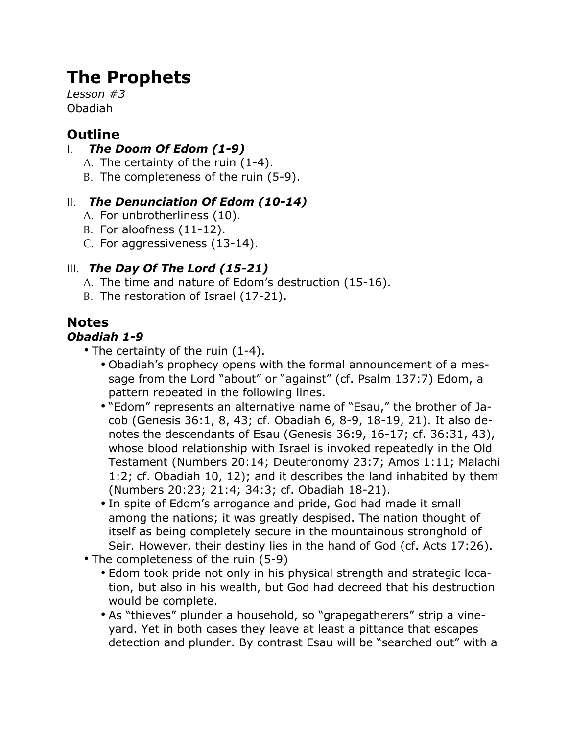# **The Prophets**

*Lesson #3* Obadiah

## **Outline**

### I. *The Doom Of Edom (1-9)*

- A. The certainty of the ruin (1-4).
- B. The completeness of the ruin (5-9).

### II. *The Denunciation Of Edom (10-14)*

- A. For unbrotherliness (10).
- B. For aloofness (11-12).
- C. For aggressiveness (13-14).

### III. *The Day Of The Lord (15-21)*

- A. The time and nature of Edom's destruction (15-16).
- B. The restoration of Israel (17-21).

## **Notes**

#### *Obadiah 1-9*

- The certainty of the ruin (1-4).
	- Obadiah's prophecy opens with the formal announcement of a message from the Lord "about" or "against" (cf. Psalm 137:7) Edom, a pattern repeated in the following lines.
	- "Edom" represents an alternative name of "Esau," the brother of Jacob (Genesis 36:1, 8, 43; cf. Obadiah 6, 8-9, 18-19, 21). It also denotes the descendants of Esau (Genesis 36:9, 16-17; cf. 36:31, 43), whose blood relationship with Israel is invoked repeatedly in the Old Testament (Numbers 20:14; Deuteronomy 23:7; Amos 1:11; Malachi 1:2; cf. Obadiah 10, 12); and it describes the land inhabited by them (Numbers 20:23; 21:4; 34:3; cf. Obadiah 18-21).
	- In spite of Edom's arrogance and pride, God had made it small among the nations; it was greatly despised. The nation thought of itself as being completely secure in the mountainous stronghold of Seir. However, their destiny lies in the hand of God (cf. Acts 17:26).
- The completeness of the ruin (5-9)
	- Edom took pride not only in his physical strength and strategic location, but also in his wealth, but God had decreed that his destruction would be complete.
	- As "thieves" plunder a household, so "grapegatherers" strip a vineyard. Yet in both cases they leave at least a pittance that escapes detection and plunder. By contrast Esau will be "searched out" with a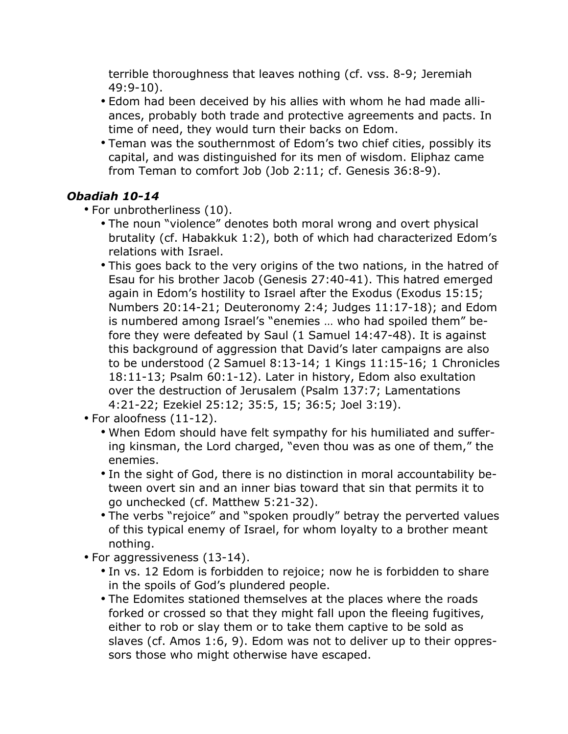terrible thoroughness that leaves nothing (cf. vss. 8-9; Jeremiah 49:9-10).

- Edom had been deceived by his allies with whom he had made alliances, probably both trade and protective agreements and pacts. In time of need, they would turn their backs on Edom.
- Teman was the southernmost of Edom's two chief cities, possibly its capital, and was distinguished for its men of wisdom. Eliphaz came from Teman to comfort Job (Job 2:11; cf. Genesis 36:8-9).

#### *Obadiah 10-14*

- For unbrotherliness (10).
	- The noun "violence" denotes both moral wrong and overt physical brutality (cf. Habakkuk 1:2), both of which had characterized Edom's relations with Israel.
	- This goes back to the very origins of the two nations, in the hatred of Esau for his brother Jacob (Genesis 27:40-41). This hatred emerged again in Edom's hostility to Israel after the Exodus (Exodus 15:15; Numbers 20:14-21; Deuteronomy 2:4; Judges 11:17-18); and Edom is numbered among Israel's "enemies … who had spoiled them" before they were defeated by Saul (1 Samuel 14:47-48). It is against this background of aggression that David's later campaigns are also to be understood (2 Samuel 8:13-14; 1 Kings 11:15-16; 1 Chronicles 18:11-13; Psalm 60:1-12). Later in history, Edom also exultation over the destruction of Jerusalem (Psalm 137:7; Lamentations 4:21-22; Ezekiel 25:12; 35:5, 15; 36:5; Joel 3:19).
- For aloofness (11-12).
	- When Edom should have felt sympathy for his humiliated and suffering kinsman, the Lord charged, "even thou was as one of them," the enemies.
	- In the sight of God, there is no distinction in moral accountability between overt sin and an inner bias toward that sin that permits it to go unchecked (cf. Matthew 5:21-32).
	- The verbs "rejoice" and "spoken proudly" betray the perverted values of this typical enemy of Israel, for whom loyalty to a brother meant nothing.
- For aggressiveness (13-14).
	- In vs. 12 Edom is forbidden to rejoice; now he is forbidden to share in the spoils of God's plundered people.
	- The Edomites stationed themselves at the places where the roads forked or crossed so that they might fall upon the fleeing fugitives, either to rob or slay them or to take them captive to be sold as slaves (cf. Amos 1:6, 9). Edom was not to deliver up to their oppressors those who might otherwise have escaped.